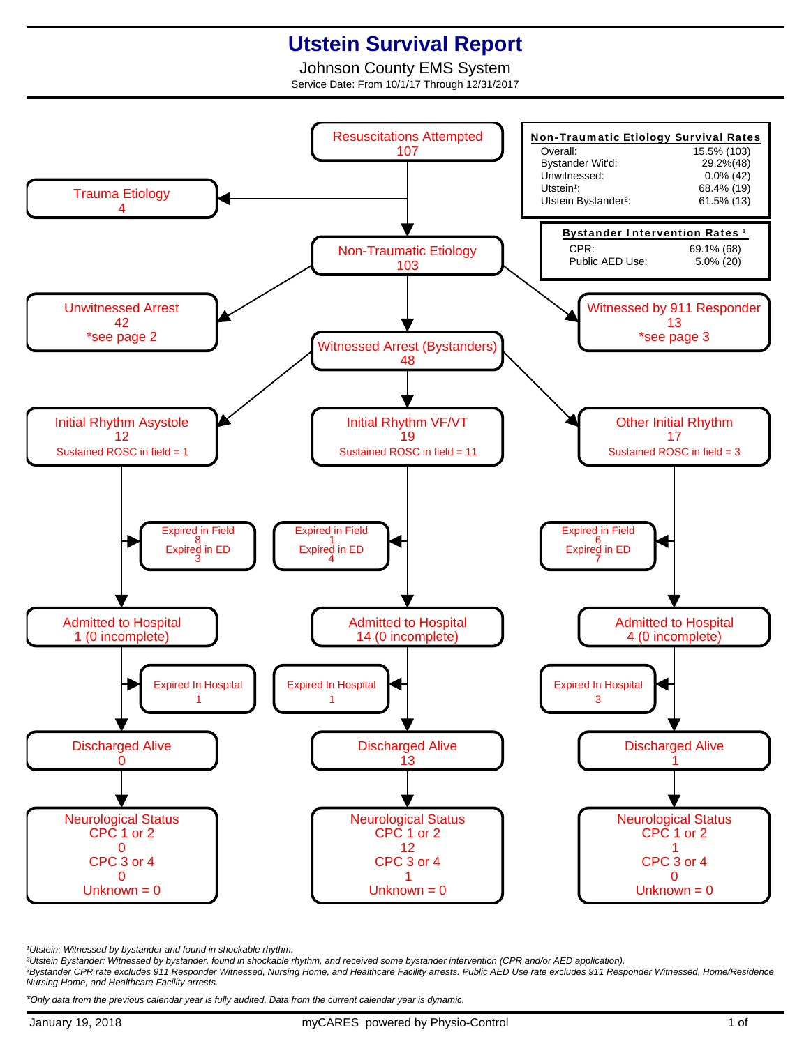## **Utstein Survival Report**

Johnson County EMS System Service Date: From 10/1/17 Through 12/31/2017



<sup>1</sup>Utstein: Witnessed by bystander and found in shockable rhythm.

²Utstein Bystander: Witnessed by bystander, found in shockable rhythm, and received some bystander intervention (CPR and/or AED application).

³Bystander CPR rate excludes 911 Responder Witnessed, Nursing Home, and Healthcare Facility arrests. Public AED Use rate excludes 911 Responder Witnessed, Home/Residence, Nursing Home, and Healthcare Facility arrests.

\*Only data from the previous calendar year is fully audited. Data from the current calendar year is dynamic.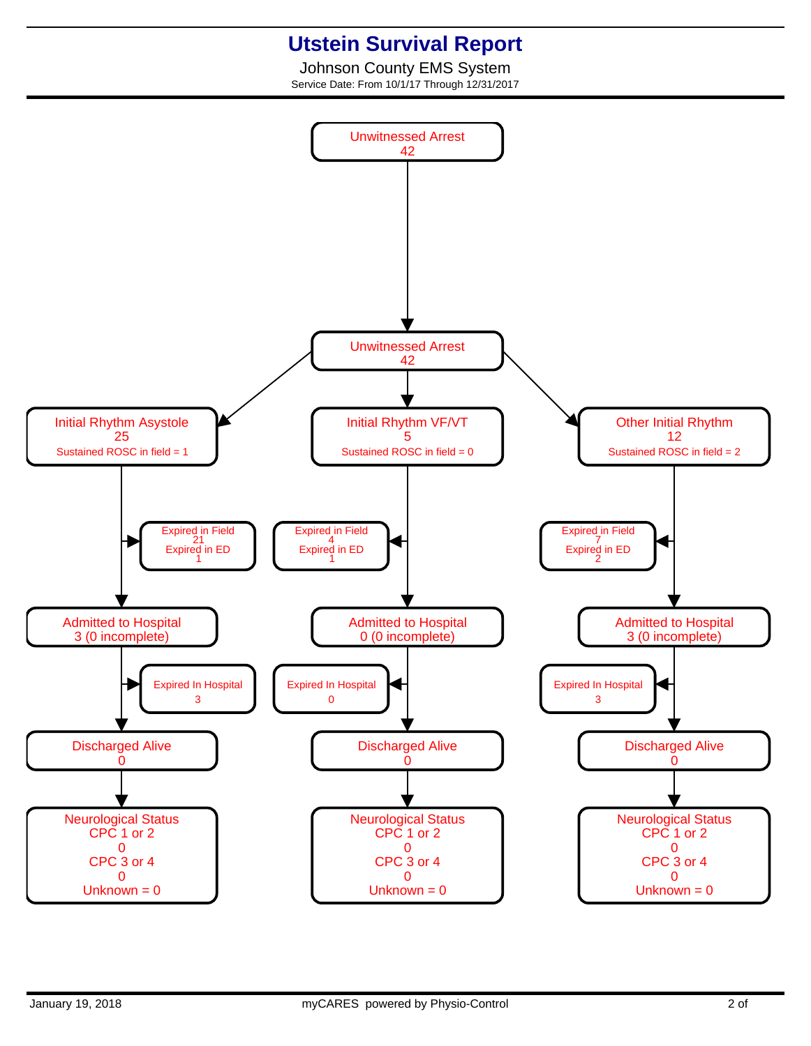## **Utstein Survival Report**

Johnson County EMS System Service Date: From 10/1/17 Through 12/31/2017